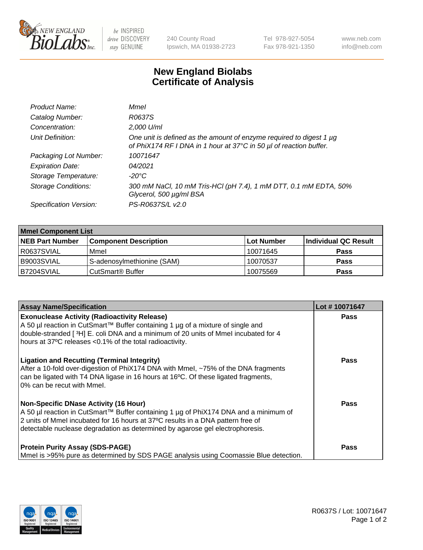

be INSPIRED drive DISCOVERY stay GENUINE

240 County Road Ipswich, MA 01938-2723 Tel 978-927-5054 Fax 978-921-1350 www.neb.com info@neb.com

## **New England Biolabs Certificate of Analysis**

| Product Name:              | <b>Mmel</b>                                                                                                                               |
|----------------------------|-------------------------------------------------------------------------------------------------------------------------------------------|
| Catalog Number:            | R0637S                                                                                                                                    |
| Concentration:             | 2,000 U/ml                                                                                                                                |
| Unit Definition:           | One unit is defined as the amount of enzyme required to digest 1 µg<br>of PhiX174 RF I DNA in 1 hour at 37°C in 50 µl of reaction buffer. |
| Packaging Lot Number:      | 10071647                                                                                                                                  |
| <b>Expiration Date:</b>    | 04/2021                                                                                                                                   |
| Storage Temperature:       | $-20^{\circ}$ C                                                                                                                           |
| <b>Storage Conditions:</b> | 300 mM NaCl, 10 mM Tris-HCl (pH 7.4), 1 mM DTT, 0.1 mM EDTA, 50%<br>Glycerol, 500 µg/ml BSA                                               |
| Specification Version:     | PS-R0637S/L v2.0                                                                                                                          |

| <b>Mmel Component List</b> |                                    |            |                      |  |
|----------------------------|------------------------------------|------------|----------------------|--|
| <b>NEB Part Number</b>     | <b>Component Description</b>       | Lot Number | Individual QC Result |  |
| I R0637SVIAL               | Mmel                               | 10071645   | <b>Pass</b>          |  |
| B9003SVIAL                 | S-adenosylmethionine (SAM)         | 10070537   | <b>Pass</b>          |  |
| B7204SVIAL                 | <b>CutSmart<sup>®</sup> Buffer</b> | 10075569   | <b>Pass</b>          |  |

| <b>Assay Name/Specification</b>                                                                                                                                                                                                                                                                          | Lot #10071647 |
|----------------------------------------------------------------------------------------------------------------------------------------------------------------------------------------------------------------------------------------------------------------------------------------------------------|---------------|
| <b>Exonuclease Activity (Radioactivity Release)</b><br>  A 50 µl reaction in CutSmart™ Buffer containing 1 µg of a mixture of single and<br>double-stranded [3H] E. coli DNA and a minimum of 20 units of Mmel incubated for 4<br>hours at 37°C releases <0.1% of the total radioactivity.               | <b>Pass</b>   |
| <b>Ligation and Recutting (Terminal Integrity)</b><br>After a 10-fold over-digestion of PhiX174 DNA with Mmel, ~75% of the DNA fragments<br>can be ligated with T4 DNA ligase in 16 hours at 16 $\degree$ C. Of these ligated fragments,<br>0% can be recut with Mmel.                                   | Pass          |
| <b>Non-Specific DNase Activity (16 Hour)</b><br>A 50 µl reaction in CutSmart™ Buffer containing 1 µg of PhiX174 DNA and a minimum of<br>2 units of Mmel incubated for 16 hours at 37°C results in a DNA pattern free of<br>detectable nuclease degradation as determined by agarose gel electrophoresis. | <b>Pass</b>   |
| <b>Protein Purity Assay (SDS-PAGE)</b><br>Mmel is >95% pure as determined by SDS PAGE analysis using Coomassie Blue detection.                                                                                                                                                                           | <b>Pass</b>   |